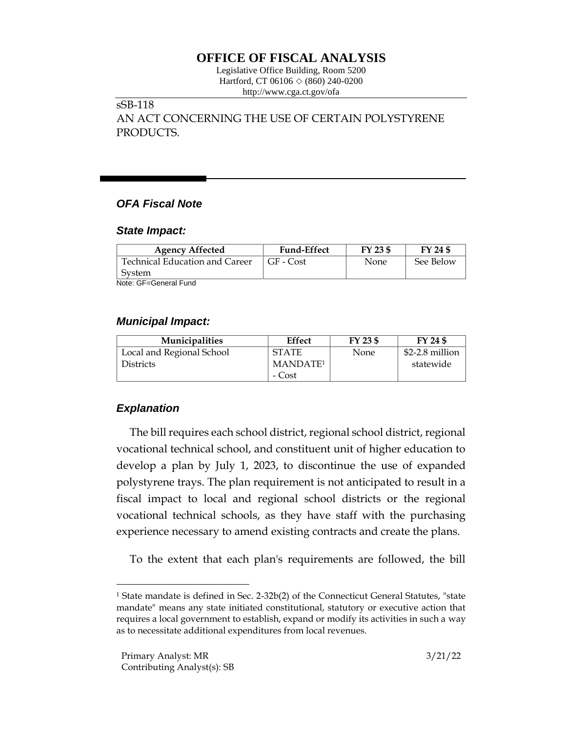# **OFFICE OF FISCAL ANALYSIS**

Legislative Office Building, Room 5200 Hartford, CT 06106  $\Diamond$  (860) 240-0200 http://www.cga.ct.gov/ofa

## sSB-118

AN ACT CONCERNING THE USE OF CERTAIN POLYSTYRENE PRODUCTS.

# *OFA Fiscal Note*

#### *State Impact:*

| <b>Agency Affected</b>         | <b>Fund-Effect</b> | FY 23 \$    | FY 24 \$  |
|--------------------------------|--------------------|-------------|-----------|
| Technical Education and Career | $GF$ - $Cost$      | <b>None</b> | See Below |
| System                         |                    |             |           |
| Note: GE-General Fund          |                    |             |           |

Note: GF=General Fund

### *Municipal Impact:*

| <b>Municipalities</b>     | <b>Effect</b>        | $FY$ 23 \$  | FY 24 \$        |
|---------------------------|----------------------|-------------|-----------------|
| Local and Regional School | <b>STATE</b>         | <b>None</b> | \$2-2.8 million |
| <b>Districts</b>          | MANDATE <sup>1</sup> |             | statewide       |
|                           | - Cost               |             |                 |

# *Explanation*

The bill requires each school district, regional school district, regional vocational technical school, and constituent unit of higher education to develop a plan by July 1, 2023, to discontinue the use of expanded polystyrene trays. The plan requirement is not anticipated to result in a fiscal impact to local and regional school districts or the regional vocational technical schools, as they have staff with the purchasing experience necessary to amend existing contracts and create the plans.

To the extent that each plan's requirements are followed, the bill

<sup>&</sup>lt;sup>1</sup> State mandate is defined in Sec. 2-32b(2) of the Connecticut General Statutes, "state mandate" means any state initiated constitutional, statutory or executive action that requires a local government to establish, expand or modify its activities in such a way as to necessitate additional expenditures from local revenues.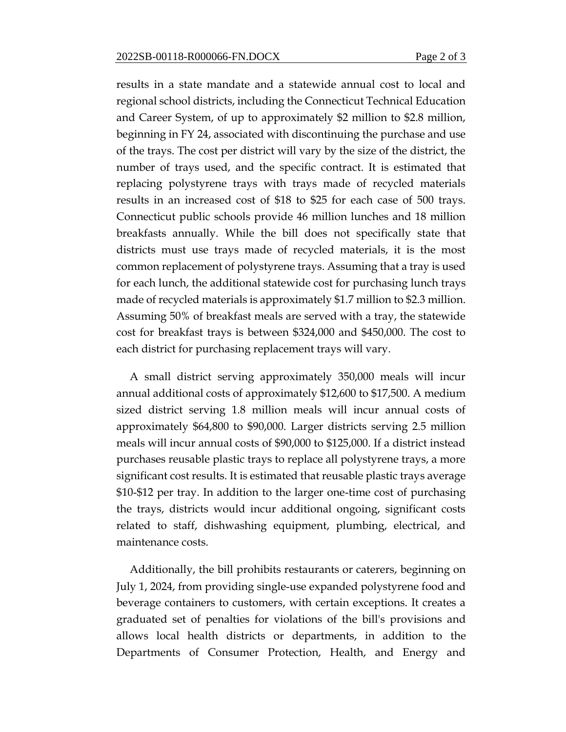results in a state mandate and a statewide annual cost to local and regional school districts, including the Connecticut Technical Education and Career System, of up to approximately \$2 million to \$2.8 million, beginning in FY 24, associated with discontinuing the purchase and use of the trays. The cost per district will vary by the size of the district, the number of trays used, and the specific contract. It is estimated that replacing polystyrene trays with trays made of recycled materials results in an increased cost of \$18 to \$25 for each case of 500 trays. Connecticut public schools provide 46 million lunches and 18 million breakfasts annually. While the bill does not specifically state that districts must use trays made of recycled materials, it is the most common replacement of polystyrene trays. Assuming that a tray is used for each lunch, the additional statewide cost for purchasing lunch trays made of recycled materials is approximately \$1.7 million to \$2.3 million. Assuming 50% of breakfast meals are served with a tray, the statewide cost for breakfast trays is between \$324,000 and \$450,000. The cost to each district for purchasing replacement trays will vary.

A small district serving approximately 350,000 meals will incur annual additional costs of approximately \$12,600 to \$17,500. A medium sized district serving 1.8 million meals will incur annual costs of approximately \$64,800 to \$90,000. Larger districts serving 2.5 million meals will incur annual costs of \$90,000 to \$125,000. If a district instead purchases reusable plastic trays to replace all polystyrene trays, a more significant cost results. It is estimated that reusable plastic trays average \$10-\$12 per tray. In addition to the larger one-time cost of purchasing the trays, districts would incur additional ongoing, significant costs related to staff, dishwashing equipment, plumbing, electrical, and maintenance costs.

Additionally, the bill prohibits restaurants or caterers, beginning on July 1, 2024, from providing single-use expanded polystyrene food and beverage containers to customers, with certain exceptions. It creates a graduated set of penalties for violations of the bill's provisions and allows local health districts or departments, in addition to the Departments of Consumer Protection, Health, and Energy and